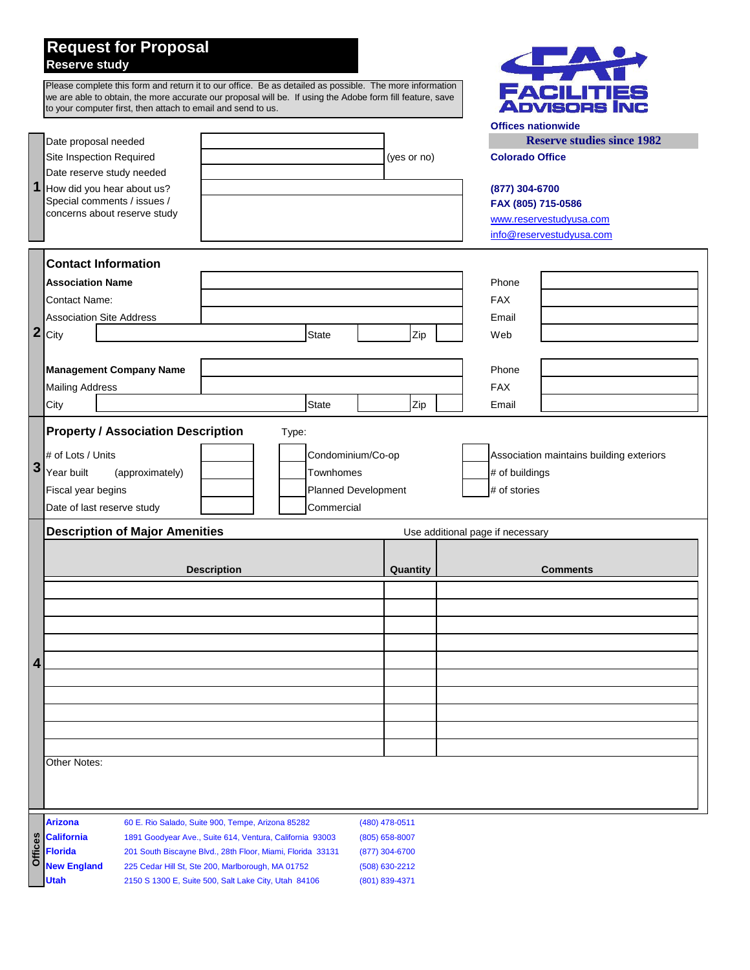## **Request for Proposal Reserve study**

|         | Please complete this form and return it to our office. Be as detailed as possible. The more information<br>we are able to obtain, the more accurate our proposal will be. If using the Adobe form fill feature, save<br>to your computer first, then attach to email and send to us.<br>Date proposal needed |                                                                                                                                                            |                                                                     |                                  |          | <b>Offices nationwide</b>            | <b>FACILITIES<br/>Advisors Inc</b><br><b>Reserve studies since 1982</b> |  |  |
|---------|--------------------------------------------------------------------------------------------------------------------------------------------------------------------------------------------------------------------------------------------------------------------------------------------------------------|------------------------------------------------------------------------------------------------------------------------------------------------------------|---------------------------------------------------------------------|----------------------------------|----------|--------------------------------------|-------------------------------------------------------------------------|--|--|
|         | Site Inspection Required                                                                                                                                                                                                                                                                                     |                                                                                                                                                            | (yes or no)                                                         |                                  |          | <b>Colorado Office</b>               |                                                                         |  |  |
| 1       | Date reserve study needed<br>How did you hear about us?<br>Special comments / issues /<br>concerns about reserve study                                                                                                                                                                                       |                                                                                                                                                            |                                                                     |                                  |          | (877) 304-6700<br>FAX (805) 715-0586 | www.reservestudyusa.com<br>info@reservestudyusa.com                     |  |  |
|         | <b>Contact Information</b>                                                                                                                                                                                                                                                                                   |                                                                                                                                                            |                                                                     |                                  |          |                                      |                                                                         |  |  |
|         | <b>Association Name</b>                                                                                                                                                                                                                                                                                      |                                                                                                                                                            |                                                                     |                                  |          | Phone                                |                                                                         |  |  |
|         | <b>Contact Name:</b>                                                                                                                                                                                                                                                                                         |                                                                                                                                                            |                                                                     |                                  |          | <b>FAX</b>                           |                                                                         |  |  |
| 2       | <b>Association Site Address</b>                                                                                                                                                                                                                                                                              |                                                                                                                                                            |                                                                     |                                  |          | Email                                |                                                                         |  |  |
|         | City                                                                                                                                                                                                                                                                                                         |                                                                                                                                                            | State                                                               | Zip                              |          | Web                                  |                                                                         |  |  |
|         | <b>Management Company Name</b>                                                                                                                                                                                                                                                                               |                                                                                                                                                            |                                                                     |                                  |          | Phone                                |                                                                         |  |  |
|         | <b>Mailing Address</b>                                                                                                                                                                                                                                                                                       |                                                                                                                                                            |                                                                     |                                  |          | <b>FAX</b>                           |                                                                         |  |  |
|         | City                                                                                                                                                                                                                                                                                                         |                                                                                                                                                            | State                                                               | Zip                              |          | Email                                |                                                                         |  |  |
| 3       | # of Lots / Units<br>Year built<br>(approximately)<br>Fiscal year begins<br>Date of last reserve study                                                                                                                                                                                                       |                                                                                                                                                            | Condominium/Co-op<br>Townhomes<br>Planned Development<br>Commercial |                                  |          | # of buildings<br># of stories       | Association maintains building exteriors                                |  |  |
|         | <b>Description of Major Amenities</b>                                                                                                                                                                                                                                                                        |                                                                                                                                                            |                                                                     |                                  |          | Use additional page if necessary     |                                                                         |  |  |
|         | <b>Description</b>                                                                                                                                                                                                                                                                                           |                                                                                                                                                            |                                                                     |                                  | Quantity |                                      | <b>Comments</b>                                                         |  |  |
|         |                                                                                                                                                                                                                                                                                                              |                                                                                                                                                            |                                                                     |                                  |          |                                      |                                                                         |  |  |
|         |                                                                                                                                                                                                                                                                                                              |                                                                                                                                                            |                                                                     |                                  |          |                                      |                                                                         |  |  |
| 4       |                                                                                                                                                                                                                                                                                                              |                                                                                                                                                            |                                                                     |                                  |          |                                      |                                                                         |  |  |
|         |                                                                                                                                                                                                                                                                                                              |                                                                                                                                                            |                                                                     |                                  |          |                                      |                                                                         |  |  |
|         |                                                                                                                                                                                                                                                                                                              |                                                                                                                                                            |                                                                     |                                  |          |                                      |                                                                         |  |  |
|         |                                                                                                                                                                                                                                                                                                              |                                                                                                                                                            |                                                                     |                                  |          |                                      |                                                                         |  |  |
|         |                                                                                                                                                                                                                                                                                                              |                                                                                                                                                            |                                                                     |                                  |          |                                      |                                                                         |  |  |
|         | Other Notes:                                                                                                                                                                                                                                                                                                 |                                                                                                                                                            |                                                                     |                                  |          |                                      |                                                                         |  |  |
|         |                                                                                                                                                                                                                                                                                                              |                                                                                                                                                            |                                                                     |                                  |          |                                      |                                                                         |  |  |
|         | <b>Arizona</b>                                                                                                                                                                                                                                                                                               | 60 E. Rio Salado, Suite 900, Tempe, Arizona 85282                                                                                                          |                                                                     | (480) 478-0511                   |          |                                      |                                                                         |  |  |
| Offices | <b>California</b><br><b>Florida</b>                                                                                                                                                                                                                                                                          | 1891 Goodyear Ave., Suite 614, Ventura, California 93003<br>(805) 658-8007<br>201 South Biscayne Blvd., 28th Floor, Miami, Florida 33131<br>(877) 304-6700 |                                                                     |                                  |          |                                      |                                                                         |  |  |
|         | <b>New England</b><br><b>Utah</b>                                                                                                                                                                                                                                                                            | 225 Cedar Hill St, Ste 200, Marlborough, MA 01752<br>2150 S 1300 E, Suite 500, Salt Lake City, Utah 84106                                                  |                                                                     | (508) 630-2212<br>(801) 839-4371 |          |                                      |                                                                         |  |  |

 $\left\langle \begin{array}{c} \text{ } \\ \text{ } \\ \text{ } \\ \text{ } \\ \text{ } \\ \end{array} \right\rangle$